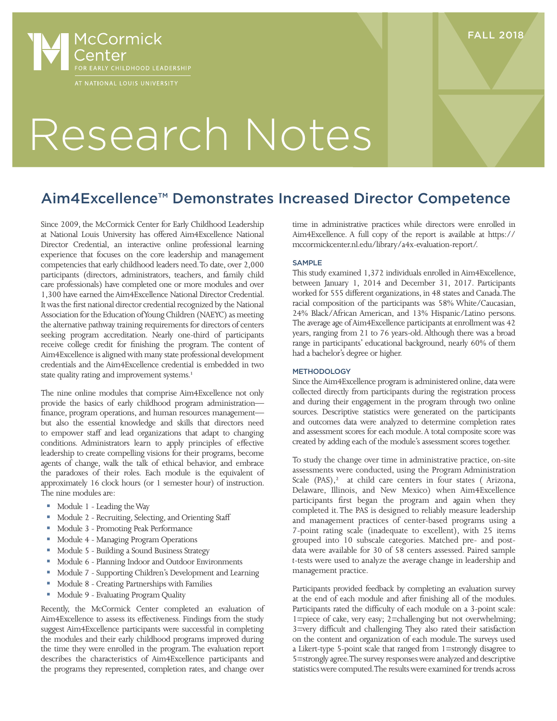

### FALL 2018

# Research Notes

## Aim4Excellence™ Demonstrates Increased Director Competence

Since 2009, the McCormick Center for Early Childhood Leadership at National Louis University has offered Aim4Excellence National Director Credential, an interactive online professional learning experience that focuses on the core leadership and management competencies that early childhood leaders need. To date, over 2,000 participants (directors, administrators, teachers, and family child care professionals) have completed one or more modules and over 1,300 have earned the Aim4Excellence National Director Credential. It was the first national director credential recognized by the National Association for the Education of Young Children (NAEYC) as meeting the alternative pathway training requirements for directors of centers seeking program accreditation. Nearly one-third of participants receive college credit for finishing the program. The content of Aim4Excellence is aligned with many state professional development credentials and the Aim4Excellence credential is embedded in two state quality rating and improvement systems.<sup>1</sup>

The nine online modules that comprise Aim4Excellence not only provide the basics of early childhood program administration finance, program operations, and human resources management but also the essential knowledge and skills that directors need to empower staff and lead organizations that adapt to changing conditions. Administrators learn to apply principles of effective leadership to create compelling visions for their programs, become agents of change, walk the talk of ethical behavior, and embrace the paradoxes of their roles. Each module is the equivalent of approximately 16 clock hours (or 1 semester hour) of instruction. The nine modules are:

- Module 1 Leading the Way
- **Module 2 Recruiting, Selecting, and Orienting Staff**
- Module 3 Promoting Peak Performance
- **Module 4 Managing Program Operations**
- Module 5 Building a Sound Business Strategy
- Module 6 Planning Indoor and Outdoor Environments
- Module 7 Supporting Children's Development and Learning
- Module 8 Creating Partnerships with Families
- Module 9 Evaluating Program Quality

Recently, the McCormick Center completed an evaluation of Aim4Excellence to assess its effectiveness. Findings from the study suggest Aim4Excellence participants were successful in completing the modules and their early childhood programs improved during the time they were enrolled in the program. The evaluation report describes the characteristics of Aim4Excellence participants and the programs they represented, completion rates, and change over

time in administrative practices while directors were enrolled in Aim4Excellence. A full copy of the report is available at https:// mccormickcenter.nl.edu/library/a4x-evaluation-report/.

#### SAMPLE

This study examined 1,372 individuals enrolled in Aim4Excellence, between January 1, 2014 and December 31, 2017. Participants worked for 555 different organizations, in 48 states and Canada. The racial composition of the participants was 58% White/Caucasian, 24% Black/African American, and 13% Hispanic/Latino persons. The average age of Aim4Excellence participants at enrollment was 42 years, ranging from 21 to 76 years-old. Although there was a broad range in participants' educational background, nearly 60% of them had a bachelor's degree or higher.

#### **METHODOLOGY**

Since the Aim4Excellence program is administered online, data were collected directly from participants during the registration process and during their engagement in the program through two online sources. Descriptive statistics were generated on the participants and outcomes data were analyzed to determine completion rates and assessment scores for each module. A total composite score was created by adding each of the module's assessment scores together.

To study the change over time in administrative practice, on-site assessments were conducted, using the Program Administration Scale  $(PAS)$ ,<sup>2</sup> at child care centers in four states (Arizona, Delaware, Illinois, and New Mexico) when Aim4Excellence participants first began the program and again when they completed it. The PAS is designed to reliably measure leadership and management practices of center-based programs using a 7-point rating scale (inadequate to excellent), with 25 items grouped into 10 subscale categories. Matched pre- and postdata were available for 30 of 58 centers assessed. Paired sample *t*-tests were used to analyze the average change in leadership and management practice.

Participants provided feedback by completing an evaluation survey at the end of each module and after finishing all of the modules. Participants rated the difficulty of each module on a 3-point scale: 1=piece of cake, very easy; 2=challenging but not overwhelming; 3=very difficult and challenging. They also rated their satisfaction on the content and organization of each module. The surveys used a Likert-type 5-point scale that ranged from 1=strongly disagree to 5=strongly agree. The survey responses were analyzed and descriptive statistics were computed. The results were examined for trends across